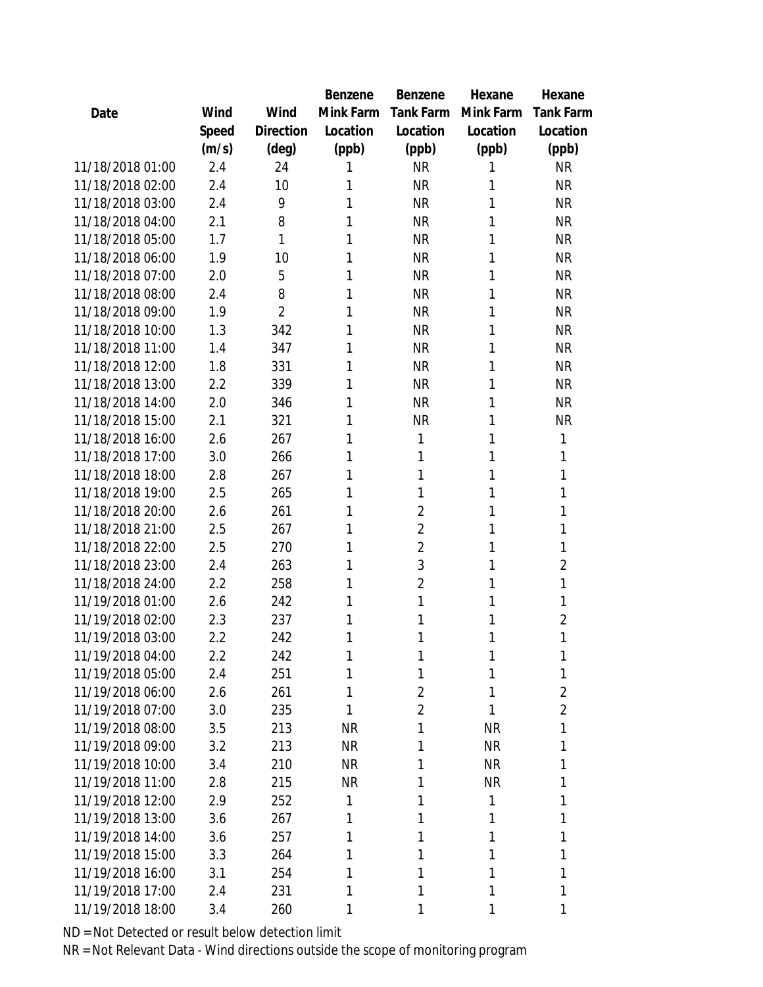|                  |       |                | Benzene   | Benzene          | Hexane    | Hexane           |
|------------------|-------|----------------|-----------|------------------|-----------|------------------|
| Date             | Wind  | Wind           | Mink Farm | <b>Tank Farm</b> | Mink Farm | <b>Tank Farm</b> |
|                  | Speed | Direction      | Location  | Location         | Location  | Location         |
|                  | (m/s) | (deg)          | (ppb)     | (ppb)            | (ppb)     | (ppb)            |
| 11/18/2018 01:00 | 2.4   | 24             | 1         | <b>NR</b>        | 1         | <b>NR</b>        |
| 11/18/2018 02:00 | 2.4   | 10             | 1         | <b>NR</b>        | 1         | <b>NR</b>        |
| 11/18/2018 03:00 | 2.4   | 9              | 1         | <b>NR</b>        | 1         | <b>NR</b>        |
| 11/18/2018 04:00 | 2.1   | 8              | 1         | <b>NR</b>        | 1         | <b>NR</b>        |
| 11/18/2018 05:00 | 1.7   | 1              | 1         | <b>NR</b>        | 1         | <b>NR</b>        |
| 11/18/2018 06:00 | 1.9   | 10             | 1         | <b>NR</b>        | 1         | <b>NR</b>        |
| 11/18/2018 07:00 | 2.0   | 5              | 1         | <b>NR</b>        | 1         | <b>NR</b>        |
| 11/18/2018 08:00 | 2.4   | 8              | 1         | <b>NR</b>        | 1         | <b>NR</b>        |
| 11/18/2018 09:00 | 1.9   | $\overline{2}$ | 1         | <b>NR</b>        | 1         | <b>NR</b>        |
| 11/18/2018 10:00 | 1.3   | 342            | 1         | <b>NR</b>        | 1         | <b>NR</b>        |
| 11/18/2018 11:00 | 1.4   | 347            | 1         | <b>NR</b>        | 1         | <b>NR</b>        |
| 11/18/2018 12:00 | 1.8   | 331            | 1         | <b>NR</b>        | 1         | <b>NR</b>        |
| 11/18/2018 13:00 | 2.2   | 339            | 1         | <b>NR</b>        | 1         | <b>NR</b>        |
| 11/18/2018 14:00 | 2.0   | 346            | 1         | <b>NR</b>        | 1         | <b>NR</b>        |
| 11/18/2018 15:00 | 2.1   | 321            | 1         | <b>NR</b>        | 1         | <b>NR</b>        |
| 11/18/2018 16:00 | 2.6   | 267            | 1         | 1                | 1         | 1                |
| 11/18/2018 17:00 | 3.0   | 266            | 1         | 1                | 1         | 1                |
| 11/18/2018 18:00 | 2.8   | 267            | 1         | 1                | 1         | 1                |
| 11/18/2018 19:00 | 2.5   | 265            | 1         | 1                | 1         | 1                |
| 11/18/2018 20:00 | 2.6   | 261            | 1         | $\overline{2}$   | 1         | 1                |
| 11/18/2018 21:00 | 2.5   | 267            | 1         | $\overline{2}$   | 1         | 1                |
| 11/18/2018 22:00 | 2.5   | 270            | 1         | $\overline{2}$   | 1         | 1                |
| 11/18/2018 23:00 | 2.4   | 263            | 1         | 3                | 1         | $\overline{2}$   |
| 11/18/2018 24:00 | 2.2   | 258            | 1         | $\overline{2}$   | 1         | 1                |
| 11/19/2018 01:00 | 2.6   | 242            | 1         | 1                | 1         | 1                |
| 11/19/2018 02:00 | 2.3   | 237            | 1         | 1                | 1         | $\overline{2}$   |
| 11/19/2018 03:00 | 2.2   | 242            | 1         | 1                | 1         | 1                |
| 11/19/2018 04:00 | 2.2   | 242            | 1         | 1                | 1         |                  |
| 11/19/2018 05:00 | 2.4   | 251            | 1         | 1                | 1         | 1                |
| 11/19/2018 06:00 | 2.6   | 261            | 1         | $\overline{2}$   | 1         | $\overline{2}$   |
| 11/19/2018 07:00 | 3.0   | 235            | 1         | $\overline{2}$   | 1         | $\overline{2}$   |
| 11/19/2018 08:00 | 3.5   | 213            | <b>NR</b> | 1                | <b>NR</b> | 1                |
| 11/19/2018 09:00 | 3.2   | 213            | <b>NR</b> | 1                | <b>NR</b> | 1                |
| 11/19/2018 10:00 | 3.4   | 210            | <b>NR</b> | 1                | <b>NR</b> | 1                |
| 11/19/2018 11:00 | 2.8   | 215            | <b>NR</b> | 1                | <b>NR</b> | 1                |
| 11/19/2018 12:00 | 2.9   | 252            | 1         | 1                | 1         | 1                |
| 11/19/2018 13:00 | 3.6   | 267            | 1         | 1                | 1         | 1                |
| 11/19/2018 14:00 | 3.6   | 257            | 1         | 1                | 1         | 1                |
| 11/19/2018 15:00 | 3.3   | 264            | 1         | 1                | 1         | 1                |
| 11/19/2018 16:00 | 3.1   | 254            | 1         | 1                | 1         | 1                |
| 11/19/2018 17:00 | 2.4   | 231            | 1         | 1                | 1         | 1                |
| 11/19/2018 18:00 | 3.4   | 260            | 1         | 1                | 1         | 1                |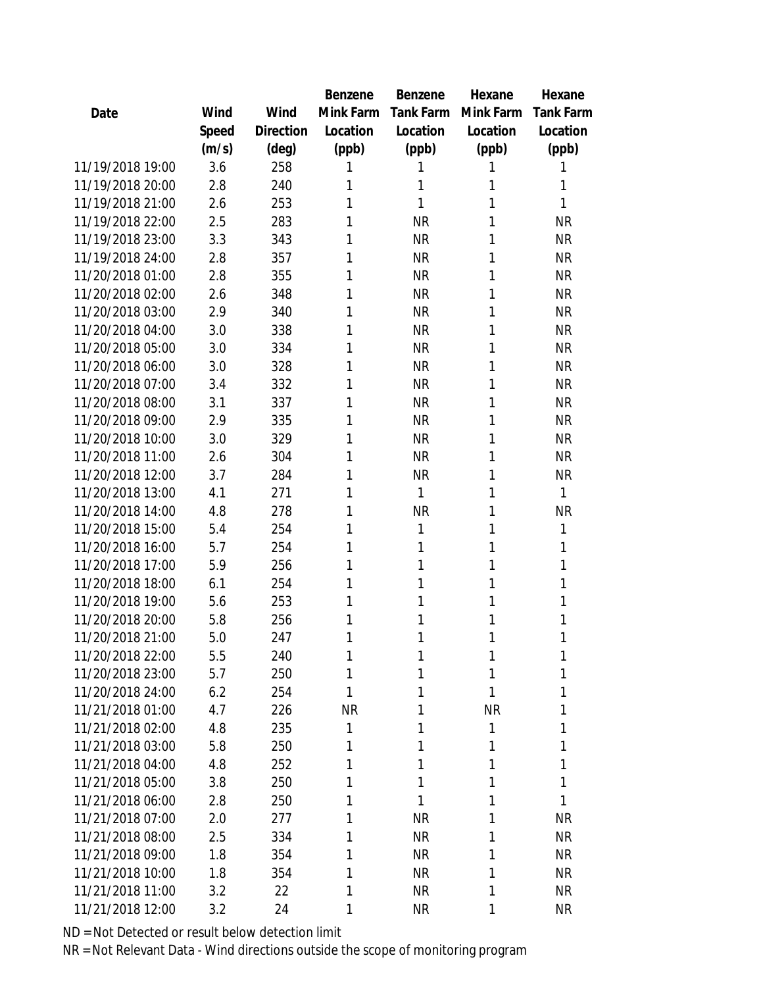|                  |       |           | Benzene   | Benzene   | Hexane    | Hexane           |
|------------------|-------|-----------|-----------|-----------|-----------|------------------|
| Date             | Wind  | Wind      | Mink Farm | Tank Farm | Mink Farm | <b>Tank Farm</b> |
|                  | Speed | Direction | Location  | Location  | Location  | Location         |
|                  | (m/s) | (deg)     | (ppb)     | (ppb)     | (ppb)     | (ppb)            |
| 11/19/2018 19:00 | 3.6   | 258       | 1         | Ί         | 1         |                  |
| 11/19/2018 20:00 | 2.8   | 240       | 1         | 1         | 1         | 1                |
| 11/19/2018 21:00 | 2.6   | 253       | 1         | 1         | 1         | 1                |
| 11/19/2018 22:00 | 2.5   | 283       | 1         | <b>NR</b> | 1         | <b>NR</b>        |
| 11/19/2018 23:00 | 3.3   | 343       | 1         | <b>NR</b> | 1         | <b>NR</b>        |
| 11/19/2018 24:00 | 2.8   | 357       | 1         | <b>NR</b> | 1         | <b>NR</b>        |
| 11/20/2018 01:00 | 2.8   | 355       | 1         | <b>NR</b> | 1         | <b>NR</b>        |
| 11/20/2018 02:00 | 2.6   | 348       | 1         | <b>NR</b> | 1         | <b>NR</b>        |
| 11/20/2018 03:00 | 2.9   | 340       | 1         | <b>NR</b> | 1         | <b>NR</b>        |
| 11/20/2018 04:00 | 3.0   | 338       | 1         | <b>NR</b> | 1         | <b>NR</b>        |
| 11/20/2018 05:00 | 3.0   | 334       | 1         | <b>NR</b> | 1         | <b>NR</b>        |
| 11/20/2018 06:00 | 3.0   | 328       | 1         | <b>NR</b> | 1         | <b>NR</b>        |
| 11/20/2018 07:00 | 3.4   | 332       | 1         | <b>NR</b> | 1         | <b>NR</b>        |
| 11/20/2018 08:00 | 3.1   | 337       | 1         | <b>NR</b> | 1         | <b>NR</b>        |
| 11/20/2018 09:00 | 2.9   | 335       | 1         | <b>NR</b> | 1         | <b>NR</b>        |
| 11/20/2018 10:00 | 3.0   | 329       | 1         | <b>NR</b> | 1         | <b>NR</b>        |
| 11/20/2018 11:00 | 2.6   | 304       | 1         | <b>NR</b> | 1         | <b>NR</b>        |
| 11/20/2018 12:00 | 3.7   | 284       | 1         | <b>NR</b> | 1         | <b>NR</b>        |
| 11/20/2018 13:00 | 4.1   | 271       | 1         | 1         | 1         | 1                |
| 11/20/2018 14:00 | 4.8   | 278       | 1         | <b>NR</b> | 1         | <b>NR</b>        |
| 11/20/2018 15:00 | 5.4   | 254       | 1         | 1         | 1         | 1                |
| 11/20/2018 16:00 | 5.7   | 254       | 1         | 1         | 1         | 1                |
| 11/20/2018 17:00 | 5.9   | 256       | 1         | 1         | 1         | 1                |
| 11/20/2018 18:00 | 6.1   | 254       | 1         | 1         | 1         | 1                |
| 11/20/2018 19:00 | 5.6   | 253       | 1         | 1         | 1         | 1                |
| 11/20/2018 20:00 | 5.8   | 256       | 1         | 1         | 1         | 1                |
| 11/20/2018 21:00 | 5.0   | 247       | 1         | 1         | 1         | 1                |
| 11/20/2018 22:00 | 5.5   | 240       | 1         | 1         | 1         | Τ                |
| 11/20/2018 23:00 | 5.7   | 250       | 1         | 1         | 1         | 1                |
| 11/20/2018 24:00 | 6.2   | 254       | 1         | 1         | 1         | 1                |
| 11/21/2018 01:00 | 4.7   | 226       | <b>NR</b> | 1         | <b>NR</b> | 1                |
| 11/21/2018 02:00 | 4.8   | 235       | 1         | 1         | 1         | 1                |
| 11/21/2018 03:00 | 5.8   | 250       | 1         | 1         | 1         | 1                |
| 11/21/2018 04:00 | 4.8   | 252       | 1         | 1         | 1         | 1                |
| 11/21/2018 05:00 | 3.8   | 250       | 1         | 1         | 1         | 1                |
| 11/21/2018 06:00 | 2.8   | 250       | 1         | 1         | 1         | 1                |
| 11/21/2018 07:00 | 2.0   | 277       | 1         | <b>NR</b> | 1         | <b>NR</b>        |
| 11/21/2018 08:00 | 2.5   | 334       | 1         | <b>NR</b> | 1         | <b>NR</b>        |
| 11/21/2018 09:00 | 1.8   | 354       | 1         | <b>NR</b> | 1         | <b>NR</b>        |
| 11/21/2018 10:00 | 1.8   | 354       | 1         | <b>NR</b> | 1         | NR               |
| 11/21/2018 11:00 | 3.2   | 22        | 1         | <b>NR</b> | 1         | <b>NR</b>        |
| 11/21/2018 12:00 | 3.2   | 24        | 1         | <b>NR</b> | 1         | <b>NR</b>        |
|                  |       |           |           |           |           |                  |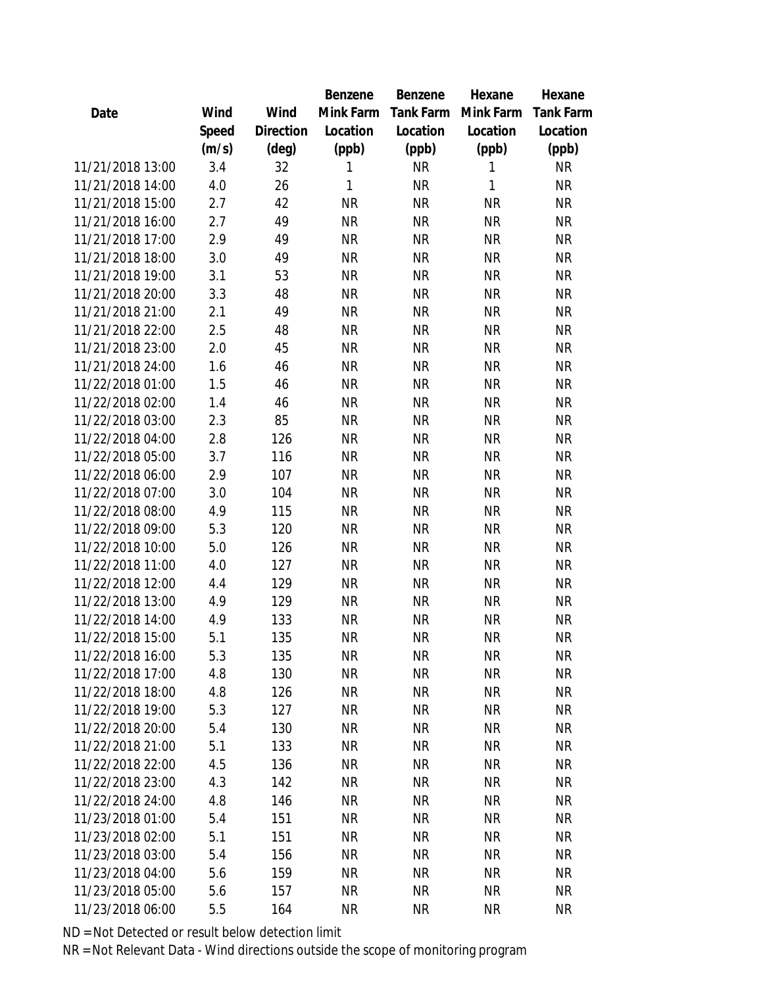|                  |       |                | Benzene   | Benzene   | Hexane    | Hexane    |
|------------------|-------|----------------|-----------|-----------|-----------|-----------|
| Date             | Wind  | Wind           | Mink Farm | Tank Farm | Mink Farm | Tank Farm |
|                  | Speed | Direction      | Location  | Location  | Location  | Location  |
|                  | (m/s) | $(\text{deg})$ | (ppb)     | (ppb)     | (ppb)     | (ppb)     |
| 11/21/2018 13:00 | 3.4   | 32             | 1         | <b>NR</b> | 1         | <b>NR</b> |
| 11/21/2018 14:00 | 4.0   | 26             | 1         | <b>NR</b> | 1         | <b>NR</b> |
| 11/21/2018 15:00 | 2.7   | 42             | <b>NR</b> | <b>NR</b> | <b>NR</b> | <b>NR</b> |
| 11/21/2018 16:00 | 2.7   | 49             | <b>NR</b> | <b>NR</b> | <b>NR</b> | <b>NR</b> |
| 11/21/2018 17:00 | 2.9   | 49             | <b>NR</b> | <b>NR</b> | <b>NR</b> | <b>NR</b> |
| 11/21/2018 18:00 | 3.0   | 49             | <b>NR</b> | <b>NR</b> | <b>NR</b> | <b>NR</b> |
| 11/21/2018 19:00 | 3.1   | 53             | <b>NR</b> | <b>NR</b> | <b>NR</b> | <b>NR</b> |
| 11/21/2018 20:00 | 3.3   | 48             | <b>NR</b> | <b>NR</b> | <b>NR</b> | <b>NR</b> |
| 11/21/2018 21:00 | 2.1   | 49             | <b>NR</b> | <b>NR</b> | <b>NR</b> | <b>NR</b> |
| 11/21/2018 22:00 | 2.5   | 48             | <b>NR</b> | <b>NR</b> | <b>NR</b> | <b>NR</b> |
| 11/21/2018 23:00 | 2.0   | 45             | <b>NR</b> | <b>NR</b> | <b>NR</b> | <b>NR</b> |
| 11/21/2018 24:00 | 1.6   | 46             | <b>NR</b> | <b>NR</b> | <b>NR</b> | <b>NR</b> |
| 11/22/2018 01:00 | 1.5   | 46             | <b>NR</b> | <b>NR</b> | <b>NR</b> | <b>NR</b> |
| 11/22/2018 02:00 | 1.4   | 46             | <b>NR</b> | <b>NR</b> | <b>NR</b> | <b>NR</b> |
| 11/22/2018 03:00 | 2.3   | 85             | <b>NR</b> | <b>NR</b> | <b>NR</b> | <b>NR</b> |
| 11/22/2018 04:00 | 2.8   | 126            | <b>NR</b> | <b>NR</b> | <b>NR</b> | <b>NR</b> |
| 11/22/2018 05:00 | 3.7   | 116            | <b>NR</b> | <b>NR</b> | <b>NR</b> | <b>NR</b> |
| 11/22/2018 06:00 | 2.9   | 107            | <b>NR</b> | <b>NR</b> | <b>NR</b> | <b>NR</b> |
| 11/22/2018 07:00 | 3.0   | 104            | <b>NR</b> | <b>NR</b> | <b>NR</b> | <b>NR</b> |
| 11/22/2018 08:00 | 4.9   | 115            | <b>NR</b> | <b>NR</b> | <b>NR</b> | <b>NR</b> |
| 11/22/2018 09:00 | 5.3   | 120            | <b>NR</b> | <b>NR</b> | <b>NR</b> | <b>NR</b> |
| 11/22/2018 10:00 | 5.0   | 126            | <b>NR</b> | <b>NR</b> | <b>NR</b> | <b>NR</b> |
| 11/22/2018 11:00 | 4.0   | 127            | <b>NR</b> | <b>NR</b> | <b>NR</b> | <b>NR</b> |
| 11/22/2018 12:00 | 4.4   | 129            | <b>NR</b> | <b>NR</b> | <b>NR</b> | <b>NR</b> |
| 11/22/2018 13:00 | 4.9   | 129            | <b>NR</b> | <b>NR</b> | <b>NR</b> | <b>NR</b> |
| 11/22/2018 14:00 | 4.9   | 133            | <b>NR</b> | <b>NR</b> | <b>NR</b> | <b>NR</b> |
| 11/22/2018 15:00 | 5.1   | 135            | <b>NR</b> | <b>NR</b> | <b>NR</b> | <b>NR</b> |
| 11/22/2018 16:00 | 5.3   | 135            | <b>NR</b> | <b>NR</b> | <b>NR</b> | NR        |
| 11/22/2018 17:00 | 4.8   | 130            | <b>NR</b> | <b>NR</b> | <b>NR</b> | <b>NR</b> |
| 11/22/2018 18:00 | 4.8   | 126            | <b>NR</b> | <b>NR</b> | <b>NR</b> | <b>NR</b> |
| 11/22/2018 19:00 | 5.3   | 127            | <b>NR</b> | <b>NR</b> | <b>NR</b> | <b>NR</b> |
| 11/22/2018 20:00 | 5.4   | 130            | <b>NR</b> | <b>NR</b> | <b>NR</b> | <b>NR</b> |
| 11/22/2018 21:00 | 5.1   | 133            | <b>NR</b> | <b>NR</b> | <b>NR</b> | <b>NR</b> |
| 11/22/2018 22:00 | 4.5   | 136            | <b>NR</b> | <b>NR</b> | <b>NR</b> | <b>NR</b> |
| 11/22/2018 23:00 | 4.3   | 142            | NR.       | <b>NR</b> | <b>NR</b> | <b>NR</b> |
| 11/22/2018 24:00 | 4.8   | 146            | <b>NR</b> | <b>NR</b> | <b>NR</b> | <b>NR</b> |
| 11/23/2018 01:00 | 5.4   | 151            | <b>NR</b> | <b>NR</b> | <b>NR</b> | <b>NR</b> |
| 11/23/2018 02:00 | 5.1   | 151            | <b>NR</b> | <b>NR</b> | <b>NR</b> | <b>NR</b> |
| 11/23/2018 03:00 | 5.4   | 156            | <b>NR</b> | <b>NR</b> | <b>NR</b> | <b>NR</b> |
| 11/23/2018 04:00 | 5.6   | 159            | NR        | <b>NR</b> | <b>NR</b> | <b>NR</b> |
| 11/23/2018 05:00 | 5.6   | 157            | <b>NR</b> | <b>NR</b> | <b>NR</b> | <b>NR</b> |
| 11/23/2018 06:00 | 5.5   | 164            | <b>NR</b> | <b>NR</b> | <b>NR</b> | <b>NR</b> |
|                  |       |                |           |           |           |           |